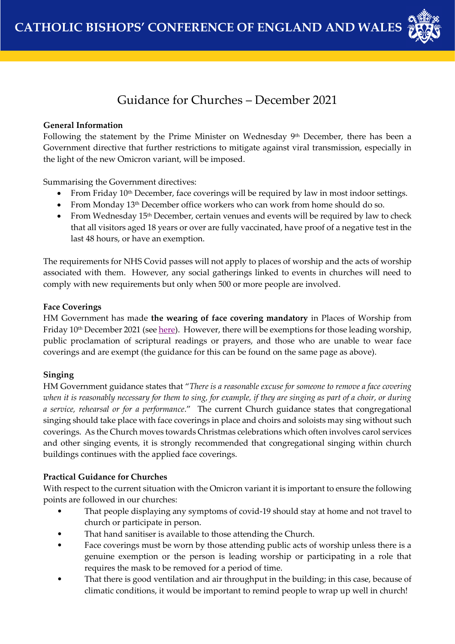

# Guidance for Churches – December 2021

#### **General Information**

Following the statement by the Prime Minister on Wednesday 9th December, there has been a Government directive that further restrictions to mitigate against viral transmission, especially in the light of the new Omicron variant, will be imposed.

Summarising the Government directives:

- From Friday  $10<sup>th</sup>$  December, face coverings will be required by law in most indoor settings.
- From Monday 13<sup>th</sup> December office workers who can work from home should do so.
- From Wednesday  $15<sup>th</sup>$  December, certain venues and events will be required by law to check that all visitors aged 18 years or over are fully vaccinated, have proof of a negative test in the last 48 hours, or have an exemption.

The requirements for NHS Covid passes will not apply to places of worship and the acts of worship associated with them. However, any social gatherings linked to events in churches will need to comply with new requirements but only when 500 or more people are involved.

## **Face Coverings**

HM Government has made **the wearing of face covering mandatory** in Places of Worship from Friday 10<sup>th</sup> December 2021 (see <u>here</u>). However, there will be exemptions for those leading worship, public proclamation of scriptural readings or prayers, and those who are unable to wear face coverings and are exempt (the guidance for this can be found on the same page as above).

## **Singing**

HM Government guidance states that "*There is a reasonable excuse for someone to remove a face covering when it is reasonably necessary for them to sing, for example, if they are singing as part of a choir, or during a service, rehearsal or for a performance*." The current Church guidance states that congregational singing should take place with face coverings in place and choirs and soloists may sing without such coverings. As the Church moves towards Christmas celebrations which often involves carol services and other singing events, it is strongly recommended that congregational singing within church buildings continues with the applied face coverings.

## **Practical Guidance for Churches**

With respect to the current situation with the Omicron variant it is important to ensure the following points are followed in our churches:

- That people displaying any symptoms of covid-19 should stay at home and not travel to church or participate in person.
- That hand sanitiser is available to those attending the Church.
- Face coverings must be worn by those attending public acts of worship unless there is a genuine exemption or the person is leading worship or participating in a role that requires the mask to be removed for a period of time.
- That there is good ventilation and air throughput in the building; in this case, because of climatic conditions, it would be important to remind people to wrap up well in church!